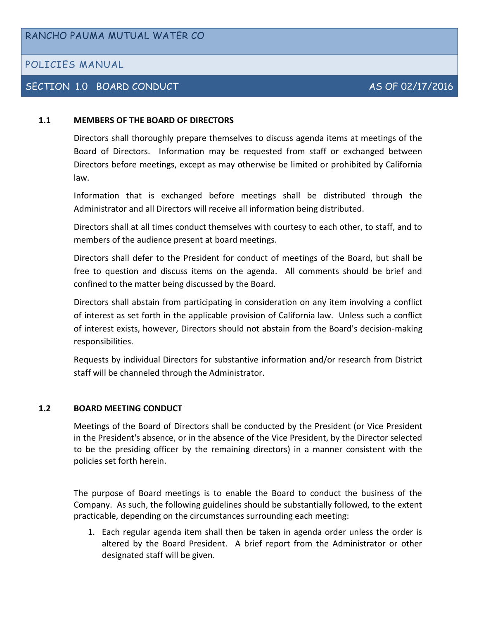# POLICIES MANUAL

# SECTION 1.0 BOARD CONDUCT AS OF 02/17/2016

#### **1.1 MEMBERS OF THE BOARD OF DIRECTORS**

Directors shall thoroughly prepare themselves to discuss agenda items at meetings of the Board of Directors. Information may be requested from staff or exchanged between Directors before meetings, except as may otherwise be limited or prohibited by California law.

Information that is exchanged before meetings shall be distributed through the Administrator and all Directors will receive all information being distributed.

Directors shall at all times conduct themselves with courtesy to each other, to staff, and to members of the audience present at board meetings.

Directors shall defer to the President for conduct of meetings of the Board, but shall be free to question and discuss items on the agenda. All comments should be brief and confined to the matter being discussed by the Board.

Directors shall abstain from participating in consideration on any item involving a conflict of interest as set forth in the applicable provision of California law. Unless such a conflict of interest exists, however, Directors should not abstain from the Board's decision-making responsibilities.

Requests by individual Directors for substantive information and/or research from District staff will be channeled through the Administrator.

#### **1.2 BOARD MEETING CONDUCT**

Meetings of the Board of Directors shall be conducted by the President (or Vice President in the President's absence, or in the absence of the Vice President, by the Director selected to be the presiding officer by the remaining directors) in a manner consistent with the policies set forth herein.

The purpose of Board meetings is to enable the Board to conduct the business of the Company. As such, the following guidelines should be substantially followed, to the extent practicable, depending on the circumstances surrounding each meeting:

1. Each regular agenda item shall then be taken in agenda order unless the order is altered by the Board President. A brief report from the Administrator or other designated staff will be given.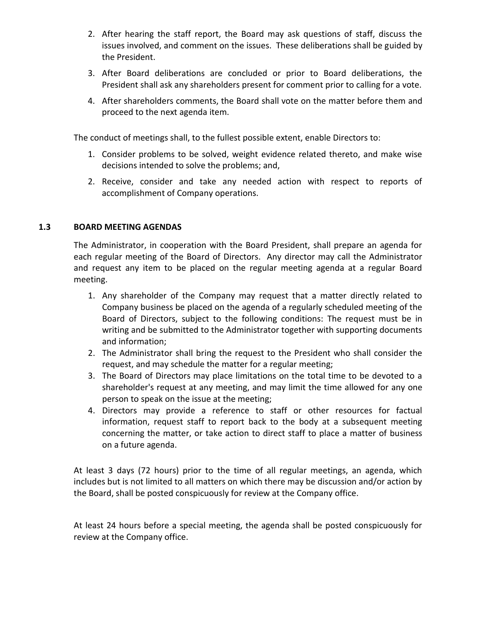- 2. After hearing the staff report, the Board may ask questions of staff, discuss the issues involved, and comment on the issues. These deliberations shall be guided by the President.
- 3. After Board deliberations are concluded or prior to Board deliberations, the President shall ask any shareholders present for comment prior to calling for a vote.
- 4. After shareholders comments, the Board shall vote on the matter before them and proceed to the next agenda item.

The conduct of meetings shall, to the fullest possible extent, enable Directors to:

- 1. Consider problems to be solved, weight evidence related thereto, and make wise decisions intended to solve the problems; and,
- 2. Receive, consider and take any needed action with respect to reports of accomplishment of Company operations.

#### **1.3 BOARD MEETING AGENDAS**

The Administrator, in cooperation with the Board President, shall prepare an agenda for each regular meeting of the Board of Directors. Any director may call the Administrator and request any item to be placed on the regular meeting agenda at a regular Board meeting.

- 1. Any shareholder of the Company may request that a matter directly related to Company business be placed on the agenda of a regularly scheduled meeting of the Board of Directors, subject to the following conditions: The request must be in writing and be submitted to the Administrator together with supporting documents and information;
- 2. The Administrator shall bring the request to the President who shall consider the request, and may schedule the matter for a regular meeting;
- 3. The Board of Directors may place limitations on the total time to be devoted to a shareholder's request at any meeting, and may limit the time allowed for any one person to speak on the issue at the meeting;
- 4. Directors may provide a reference to staff or other resources for factual information, request staff to report back to the body at a subsequent meeting concerning the matter, or take action to direct staff to place a matter of business on a future agenda.

At least 3 days (72 hours) prior to the time of all regular meetings, an agenda, which includes but is not limited to all matters on which there may be discussion and/or action by the Board, shall be posted conspicuously for review at the Company office.

At least 24 hours before a special meeting, the agenda shall be posted conspicuously for review at the Company office.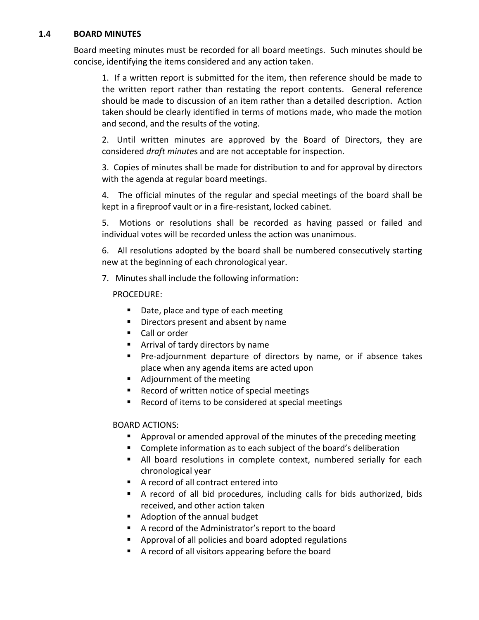#### **1.4 BOARD MINUTES**

Board meeting minutes must be recorded for all board meetings. Such minutes should be concise, identifying the items considered and any action taken.

1. If a written report is submitted for the item, then reference should be made to the written report rather than restating the report contents. General reference should be made to discussion of an item rather than a detailed description. Action taken should be clearly identified in terms of motions made, who made the motion and second, and the results of the voting.

2. Until written minutes are approved by the Board of Directors, they are considered *draft minute*s and are not acceptable for inspection.

3. Copies of minutes shall be made for distribution to and for approval by directors with the agenda at regular board meetings.

4. The official minutes of the regular and special meetings of the board shall be kept in a fireproof vault or in a fire-resistant, locked cabinet.

5. Motions or resolutions shall be recorded as having passed or failed and individual votes will be recorded unless the action was unanimous.

6. All resolutions adopted by the board shall be numbered consecutively starting new at the beginning of each chronological year.

7. Minutes shall include the following information:

# PROCEDURE:

- Date, place and type of each meeting
- Directors present and absent by name
- Call or order
- **EXTERG** Arrival of tardy directors by name
- **Pre-adjournment departure of directors by name, or if absence takes** place when any agenda items are acted upon
- Adjournment of the meeting
- Record of written notice of special meetings
- Record of items to be considered at special meetings

# BOARD ACTIONS:

- Approval or amended approval of the minutes of the preceding meeting
- **Complete information as to each subject of the board's deliberation**
- All board resolutions in complete context, numbered serially for each chronological year
- A record of all contract entered into
- A record of all bid procedures, including calls for bids authorized, bids received, and other action taken
- Adoption of the annual budget
- A record of the Administrator's report to the board
- Approval of all policies and board adopted regulations
- A record of all visitors appearing before the board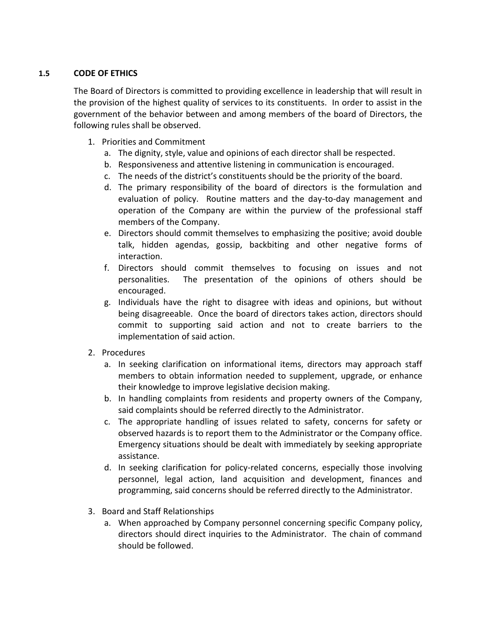# **1.5 CODE OF ETHICS**

The Board of Directors is committed to providing excellence in leadership that will result in the provision of the highest quality of services to its constituents. In order to assist in the government of the behavior between and among members of the board of Directors, the following rules shall be observed.

- 1. Priorities and Commitment
	- a. The dignity, style, value and opinions of each director shall be respected.
	- b. Responsiveness and attentive listening in communication is encouraged.
	- c. The needs of the district's constituents should be the priority of the board.
	- d. The primary responsibility of the board of directors is the formulation and evaluation of policy. Routine matters and the day-to-day management and operation of the Company are within the purview of the professional staff members of the Company.
	- e. Directors should commit themselves to emphasizing the positive; avoid double talk, hidden agendas, gossip, backbiting and other negative forms of interaction.
	- f. Directors should commit themselves to focusing on issues and not personalities. The presentation of the opinions of others should be encouraged.
	- g. Individuals have the right to disagree with ideas and opinions, but without being disagreeable. Once the board of directors takes action, directors should commit to supporting said action and not to create barriers to the implementation of said action.
- 2. Procedures
	- a. In seeking clarification on informational items, directors may approach staff members to obtain information needed to supplement, upgrade, or enhance their knowledge to improve legislative decision making.
	- b. In handling complaints from residents and property owners of the Company, said complaints should be referred directly to the Administrator.
	- c. The appropriate handling of issues related to safety, concerns for safety or observed hazards is to report them to the Administrator or the Company office. Emergency situations should be dealt with immediately by seeking appropriate assistance.
	- d. In seeking clarification for policy-related concerns, especially those involving personnel, legal action, land acquisition and development, finances and programming, said concerns should be referred directly to the Administrator.
- 3. Board and Staff Relationships
	- a. When approached by Company personnel concerning specific Company policy, directors should direct inquiries to the Administrator. The chain of command should be followed.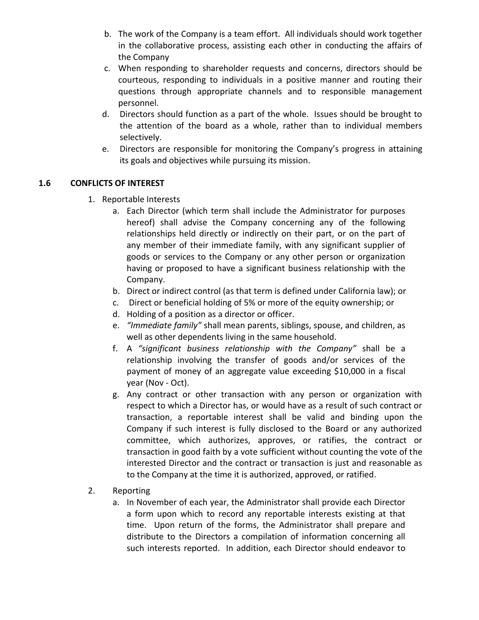- b. The work of the Company is a team effort. All individuals should work together in the collaborative process, assisting each other in conducting the affairs of the Company
- c. When responding to shareholder requests and concerns, directors should be courteous, responding to individuals in a positive manner and routing their questions through appropriate channels and to responsible management personnel.
- d. Directors should function as a part of the whole. Issues should be brought to the attention of the board as a whole, rather than to individual members selectively.
- e. Directors are responsible for monitoring the Company's progress in attaining its goals and objectives while pursuing its mission.

# **1.6 CONFLICTS OF INTEREST**

- 1. Reportable Interests
	- a. Each Director (which term shall include the Administrator for purposes hereof) shall advise the Company concerning any of the following relationships held directly or indirectly on their part, or on the part of any member of their immediate family, with any significant supplier of goods or services to the Company or any other person or organization having or proposed to have a significant business relationship with the Company.
	- b. Direct or indirect control (as that term is defined under California law); or
	- c. Direct or beneficial holding of 5% or more of the equity ownership; or
	- d. Holding of a position as a director or officer.
	- e. *"Immediate family"* shall mean parents, siblings, spouse, and children, as well as other dependents living in the same household.
	- f. A *"significant business relationship with the Company"* shall be a relationship involving the transfer of goods and/or services of the payment of money of an aggregate value exceeding \$10,000 in a fiscal year (Nov - Oct).
	- g. Any contract or other transaction with any person or organization with respect to which a Director has, or would have as a result of such contract or transaction, a reportable interest shall be valid and binding upon the Company if such interest is fully disclosed to the Board or any authorized committee, which authorizes, approves, or ratifies, the contract or transaction in good faith by a vote sufficient without counting the vote of the interested Director and the contract or transaction is just and reasonable as to the Company at the time it is authorized, approved, or ratified.
- 2. Reporting
	- a. In November of each year, the Administrator shall provide each Director a form upon which to record any reportable interests existing at that time. Upon return of the forms, the Administrator shall prepare and distribute to the Directors a compilation of information concerning all such interests reported. In addition, each Director should endeavor to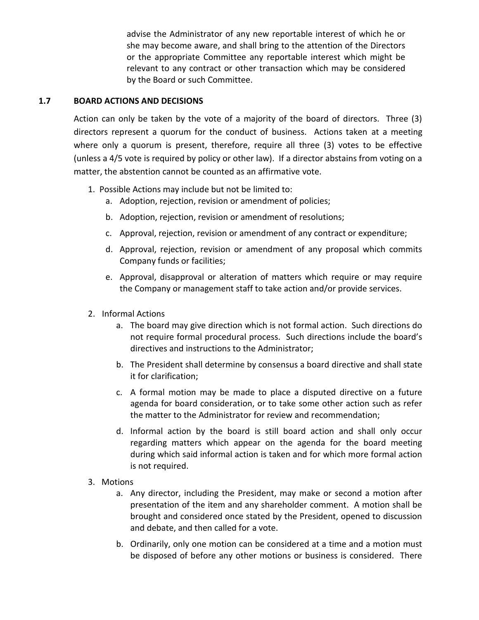advise the Administrator of any new reportable interest of which he or she may become aware, and shall bring to the attention of the Directors or the appropriate Committee any reportable interest which might be relevant to any contract or other transaction which may be considered by the Board or such Committee.

#### **1.7 BOARD ACTIONS AND DECISIONS**

Action can only be taken by the vote of a majority of the board of directors. Three (3) directors represent a quorum for the conduct of business. Actions taken at a meeting where only a quorum is present, therefore, require all three (3) votes to be effective (unless a 4/5 vote is required by policy or other law). If a director abstains from voting on a matter, the abstention cannot be counted as an affirmative vote.

- 1. Possible Actions may include but not be limited to:
	- a. Adoption, rejection, revision or amendment of policies;
	- b. Adoption, rejection, revision or amendment of resolutions;
	- c. Approval, rejection, revision or amendment of any contract or expenditure;
	- d. Approval, rejection, revision or amendment of any proposal which commits Company funds or facilities;
	- e. Approval, disapproval or alteration of matters which require or may require the Company or management staff to take action and/or provide services.
- 2. Informal Actions
	- a. The board may give direction which is not formal action. Such directions do not require formal procedural process. Such directions include the board's directives and instructions to the Administrator;
	- b. The President shall determine by consensus a board directive and shall state it for clarification;
	- c. A formal motion may be made to place a disputed directive on a future agenda for board consideration, or to take some other action such as refer the matter to the Administrator for review and recommendation;
	- d. Informal action by the board is still board action and shall only occur regarding matters which appear on the agenda for the board meeting during which said informal action is taken and for which more formal action is not required.
- 3. Motions
	- a. Any director, including the President, may make or second a motion after presentation of the item and any shareholder comment. A motion shall be brought and considered once stated by the President, opened to discussion and debate, and then called for a vote.
	- b. Ordinarily, only one motion can be considered at a time and a motion must be disposed of before any other motions or business is considered. There